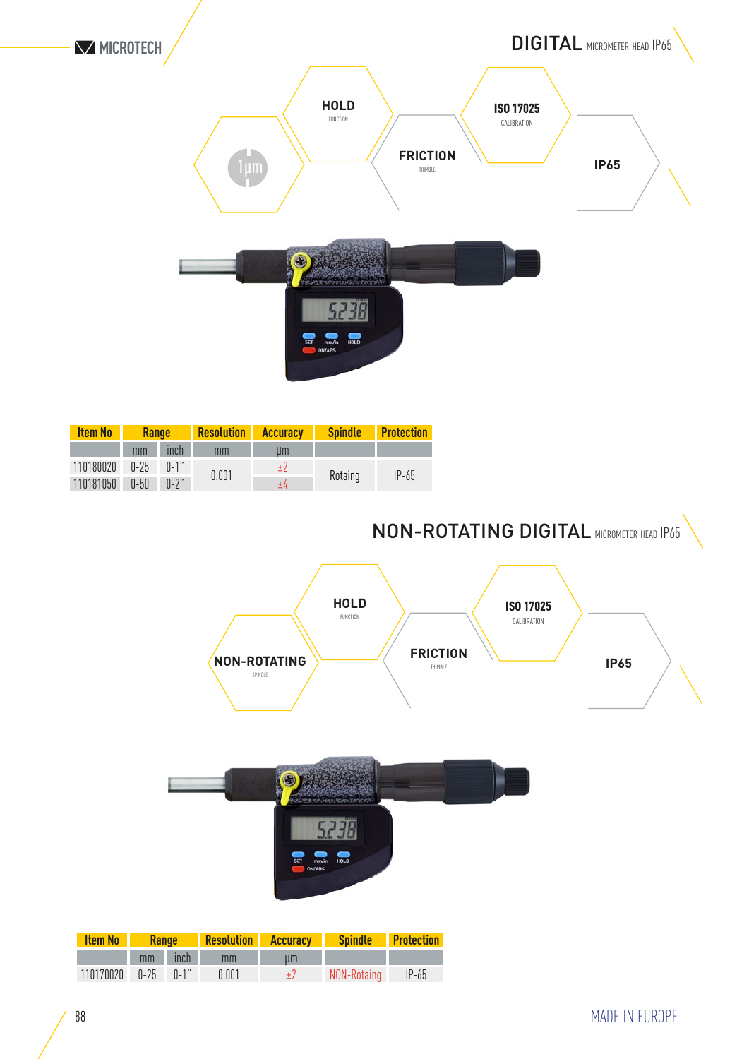

| <b>Item No</b> | <b>Range</b> |          | <b>Resolution</b> | <b>Accuracy</b> | <b>Spindle</b> | <b>Protection</b> |
|----------------|--------------|----------|-------------------|-----------------|----------------|-------------------|
|                | mm           | inch     | mm                | иm              |                |                   |
| 110180020      | $0 - 25$     | $n-1"$   | 0.001             | ±2              | Rotaing        | $IP-65$           |
| 110181050      | $0-50$       | $0 - 2"$ |                   | ±4              |                |                   |

NON-ROTATING DIGITAL micrometer head IP65



| <b>Item No</b> | <b>Range</b> |         | <b>Resolution</b> | <b>Accuracy</b> | <b>Spindle</b> | <b>Protection</b> |
|----------------|--------------|---------|-------------------|-----------------|----------------|-------------------|
|                |              | mm inch | mm                | um              |                |                   |
| 110170020      | $0-25$       | $n-1$ " | 0.001             |                 | NON-Rotaing    | $IP-65$           |